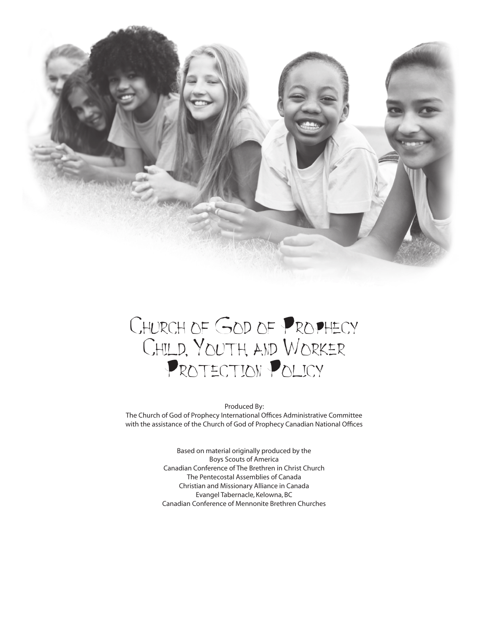

# Church of God of Prophecy Child, Youth, and Worker Protection Policy

Produced By: The Church of God of Prophecy International Offices Administrative Committee with the assistance of the Church of God of Prophecy Canadian National Offices

> Based on material originally produced by the Boys Scouts of America Canadian Conference of The Brethren in Christ Church The Pentecostal Assemblies of Canada Christian and Missionary Alliance in Canada Evangel Tabernacle, Kelowna, BC Canadian Conference of Mennonite Brethren Churches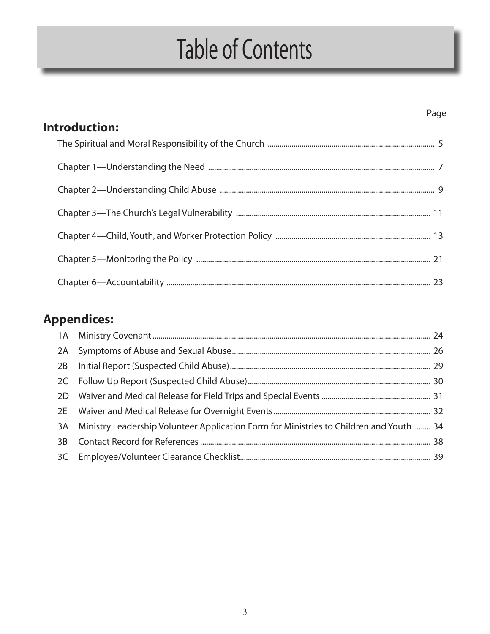# **Table of Contents**

| . . |  |
|-----|--|

| <b>Introduction:</b> |  |
|----------------------|--|
|                      |  |
|                      |  |
|                      |  |
|                      |  |
|                      |  |
|                      |  |
|                      |  |

# **Appendices:**

| 2B |                                                                                         |  |
|----|-----------------------------------------------------------------------------------------|--|
|    |                                                                                         |  |
| 2D |                                                                                         |  |
| 2E |                                                                                         |  |
| 3A | Ministry Leadership Volunteer Application Form for Ministries to Children and Youth  34 |  |
| 3B |                                                                                         |  |
| 3C |                                                                                         |  |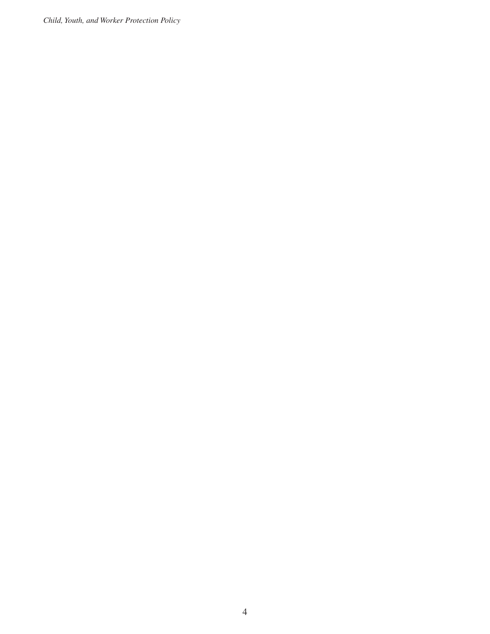*Child, Youth, and Worker Protection Policy*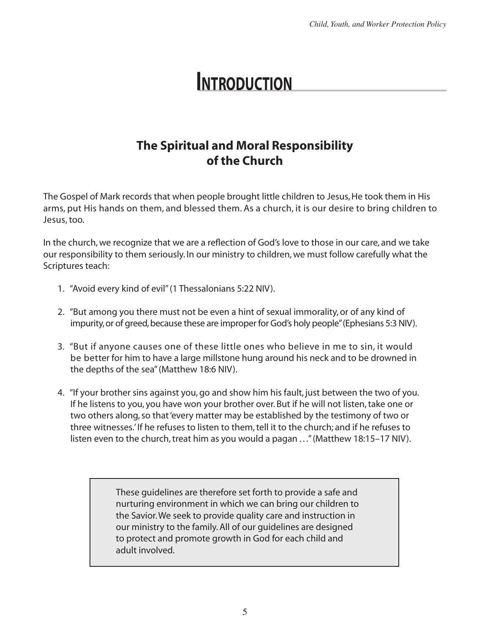# **Introduction**

# **The Spiritual and Moral Responsibility of the Church**

The Gospel of Mark records that when people brought little children to Jesus, He took them in His arms, put His hands on them, and blessed them. As a church, it is our desire to bring children to Jesus, too.

In the church, we recognize that we are a reflection of God's love to those in our care, and we take our responsibility to them seriously. In our ministry to children, we must follow carefully what the Scriptures teach:

- 1. "Avoid every kind of evil" (1 Thessalonians 5:22 NIV).
- 2. "But among you there must not be even a hint of sexual immorality, or of any kind of impurity, or of greed, because these are improper for God's holy people" (Ephesians 5:3 NIV).
- 3. "But if anyone causes one of these little ones who believe in me to sin, it would be better for him to have a large millstone hung around his neck and to be drowned in the depths of the sea" (Matthew 18:6 NIV).
- 4. "If your brother sins against you, go and show him his fault, just between the two of you. If he listens to you, you have won your brother over. But if he will not listen, take one or two others along, so that 'every matter may be established by the testimony of two or three witnesses.' If he refuses to listen to them, tell it to the church; and if he refuses to listen even to the church, treat him as you would a pagan . . ." (Matthew 18:15–17 NIV).

These guidelines are therefore set forth to provide a safe and nurturing environment in which we can bring our children to the Savior. We seek to provide quality care and instruction in our ministry to the family. All of our guidelines are designed to protect and promote growth in God for each child and adult involved.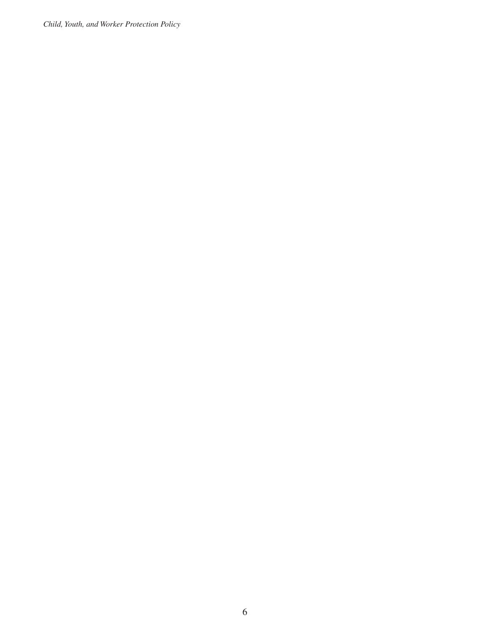*Child, Youth, and Worker Protection Policy*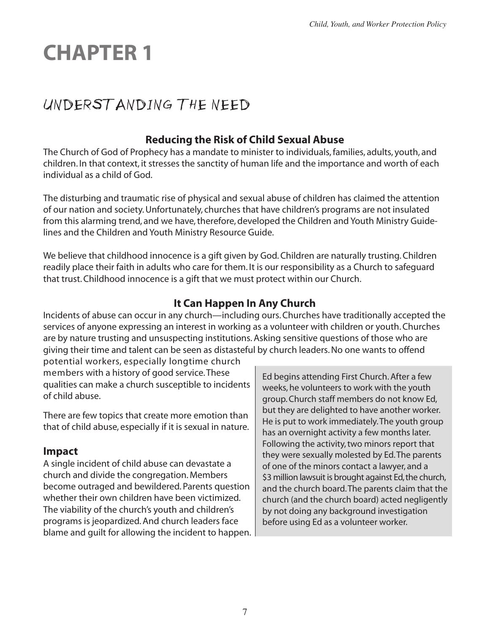# **Chapter 1**

# Understanding the Need

# **Reducing the Risk of Child Sexual Abuse**

The Church of God of Prophecy has a mandate to minister to individuals, families, adults, youth, and children. In that context, it stresses the sanctity of human life and the importance and worth of each individual as a child of God.

The disturbing and traumatic rise of physical and sexual abuse of children has claimed the attention of our nation and society. Unfortunately, churches that have children's programs are not insulated from this alarming trend, and we have, therefore, developed the Children and Youth Ministry Guidelines and the Children and Youth Ministry Resource Guide.

We believe that childhood innocence is a gift given by God. Children are naturally trusting. Children readily place their faith in adults who care for them. It is our responsibility as a Church to safeguard that trust. Childhood innocence is a gift that we must protect within our Church.

# **It Can Happen In Any Church**

Incidents of abuse can occur in any church—including ours. Churches have traditionally accepted the services of anyone expressing an interest in working as a volunteer with children or youth. Churches are by nature trusting and unsuspecting institutions. Asking sensitive questions of those who are giving their time and talent can be seen as distasteful by church leaders. No one wants to offend

potential workers, especially longtime church members with a history of good service. These qualities can make a church susceptible to incidents of child abuse.

There are few topics that create more emotion than that of child abuse, especially if it is sexual in nature.

### **Impact**

A single incident of child abuse can devastate a church and divide the congregation. Members become outraged and bewildered. Parents question whether their own children have been victimized. The viability of the church's youth and children's programs is jeopardized. And church leaders face blame and guilt for allowing the incident to happen.

Ed begins attending First Church. After a few weeks, he volunteers to work with the youth group. Church staff members do not know Ed, but they are delighted to have another worker. He is put to work immediately. The youth group has an overnight activity a few months later. Following the activity, two minors report that they were sexually molested by Ed. The parents of one of the minors contact a lawyer, and a \$3 million lawsuit is brought against Ed, the church, and the church board. The parents claim that the church (and the church board) acted negligently by not doing any background investigation before using Ed as a volunteer worker.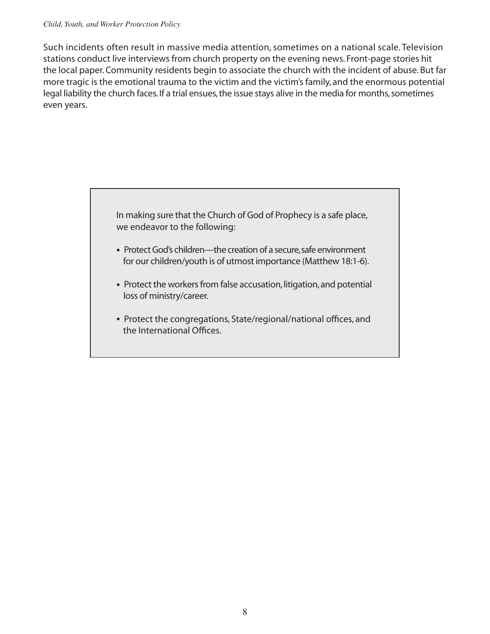#### *Child, Youth, and Worker Protection Policy*

Such incidents often result in massive media attention, sometimes on a national scale. Television stations conduct live interviews from church property on the evening news. Front-page stories hit the local paper. Community residents begin to associate the church with the incident of abuse. But far more tragic is the emotional trauma to the victim and the victim's family, and the enormous potential legal liability the church faces. If a trial ensues, the issue stays alive in the media for months, sometimes even years.

> In making sure that the Church of God of Prophecy is a safe place, we endeavor to the following:

- Protect God's children—the creation of a secure, safe environment for our children/youth is of utmost importance (Matthew 18:1-6).
- Protect the workers from false accusation, litigation, and potential loss of ministry/career.
- Protect the congregations, State/regional/national offices, and the International Offices.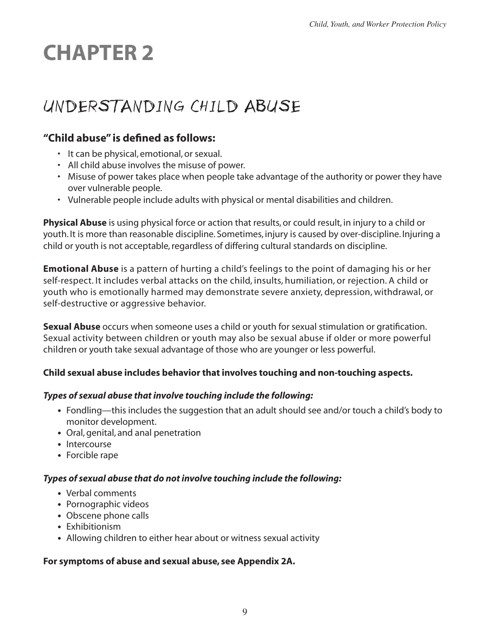# **Chapter 2**

# Understanding Child Abuse

# **"Child abuse" is defined as follows:**

- It can be physical, emotional, or sexual.
- All child abuse involves the misuse of power.
- Misuse of power takes place when people take advantage of the authority or power they have over vulnerable people.
- Vulnerable people include adults with physical or mental disabilities and children.

**Physical Abuse** is using physical force or action that results, or could result, in injury to a child or youth. It is more than reasonable discipline. Sometimes, injury is caused by over-discipline. Injuring a child or youth is not acceptable, regardless of differing cultural standards on discipline.

**Emotional Abuse** is a pattern of hurting a child's feelings to the point of damaging his or her self-respect. It includes verbal attacks on the child, insults, humiliation, or rejection. A child or youth who is emotionally harmed may demonstrate severe anxiety, depression, withdrawal, or self-destructive or aggressive behavior.

**Sexual Abuse** occurs when someone uses a child or youth for sexual stimulation or gratification. Sexual activity between children or youth may also be sexual abuse if older or more powerful children or youth take sexual advantage of those who are younger or less powerful.

### **Child sexual abuse includes behavior that involves touching and non-touching aspects.**

### *Types of sexual abuse that involve touching include the following:*

- Fondling—this includes the suggestion that an adult should see and/or touch a child's body to monitor development.
- Oral, genital, and anal penetration
- Intercourse
- Forcible rape

### *Types of sexual abuse that do not involve touching include the following:*

- Verbal comments
- Pornographic videos
- Obscene phone calls
- Exhibitionism
- Allowing children to either hear about or witness sexual activity

#### **For symptoms of abuse and sexual abuse, see Appendix 2A.**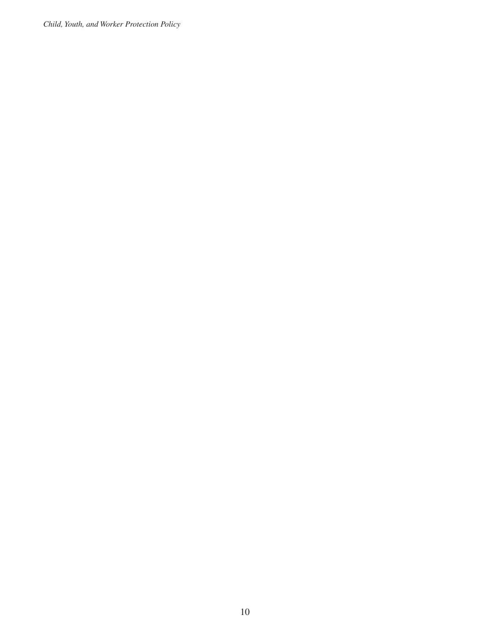*Child, Youth, and Worker Protection Policy*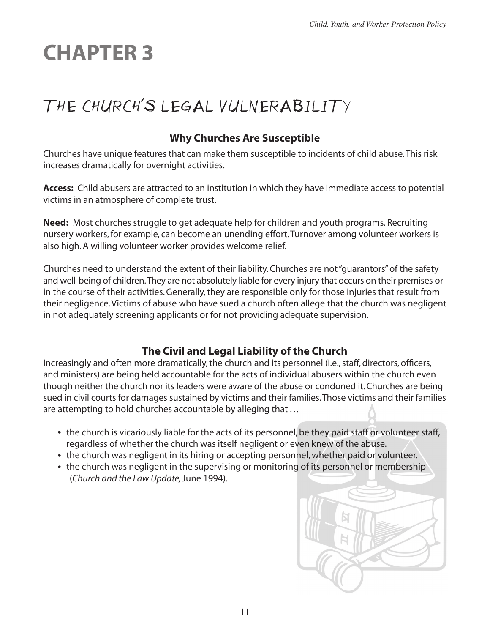# **Chapter 3**

# THE CHURCH'S LEGAL VULNERABILITY

# **Why Churches Are Susceptible**

Churches have unique features that can make them susceptible to incidents of child abuse. This risk increases dramatically for overnight activities.

**Access:** Child abusers are attracted to an institution in which they have immediate access to potential victims in an atmosphere of complete trust.

**Need:** Most churches struggle to get adequate help for children and youth programs. Recruiting nursery workers, for example, can become an unending effort. Turnover among volunteer workers is also high. A willing volunteer worker provides welcome relief.

Churches need to understand the extent of their liability. Churches are not "guarantors" of the safety and well-being of children. They are not absolutely liable for every injury that occurs on their premises or in the course of their activities. Generally, they are responsible only for those injuries that result from their negligence. Victims of abuse who have sued a church often allege that the church was negligent in not adequately screening applicants or for not providing adequate supervision.

# **The Civil and Legal Liability of the Church**

Increasingly and often more dramatically, the church and its personnel (i.e., staff, directors, officers, and ministers) are being held accountable for the acts of individual abusers within the church even though neither the church nor its leaders were aware of the abuse or condoned it. Churches are being sued in civil courts for damages sustained by victims and their families. Those victims and their families are attempting to hold churches accountable by alleging that ...

- the church is vicariously liable for the acts of its personnel, be they paid staff or volunteer staff, regardless of whether the church was itself negligent or even knew of the abuse.
- the church was negligent in its hiring or accepting personnel, whether paid or volunteer.
- the church was negligent in the supervising or monitoring of its personnel or membership (*Church and the Law Update,* June 1994).

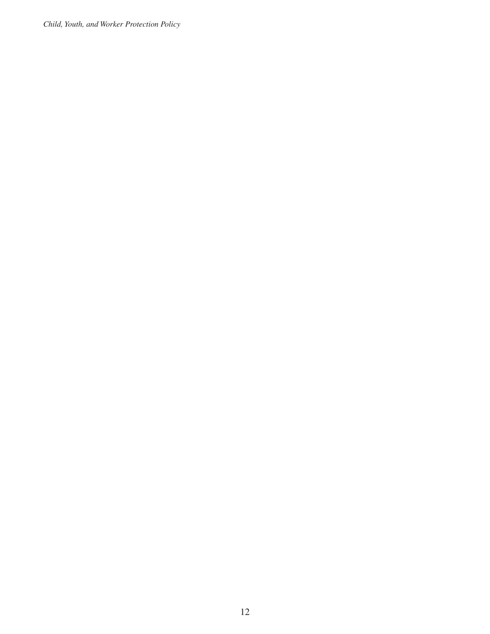*Child, Youth, and Worker Protection Policy*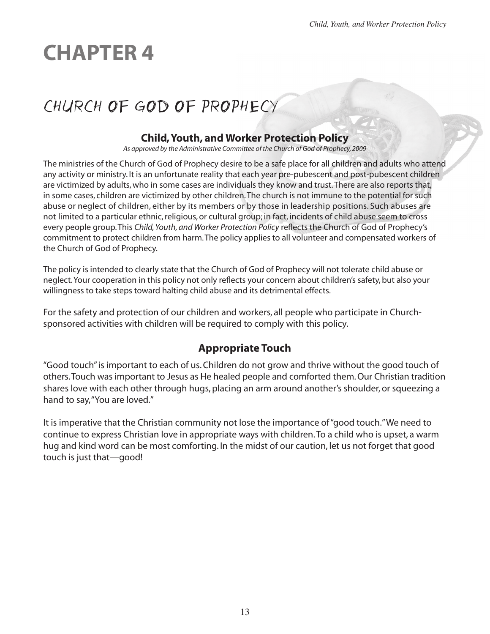# **Chapter 4**

# Church of God of Prophecy

### **Child, Youth, and Worker Protection Policy**

*As approved by the Administrative Committee of the Church of God of Prophecy, 2009*

The ministries of the Church of God of Prophecy desire to be a safe place for all children and adults who attend any activity or ministry. It is an unfortunate reality that each year pre-pubescent and post-pubescent children are victimized by adults, who in some cases are individuals they know and trust. There are also reports that, in some cases, children are victimized by other children. The church is not immune to the potential for such abuse or neglect of children, either by its members or by those in leadership positions. Such abuses are not limited to a particular ethnic, religious, or cultural group; in fact, incidents of child abuse seem to cross every people group. This *Child, Youth, and Worker Protection Policy* reflects the Church of God of Prophecy's commitment to protect children from harm. The policy applies to all volunteer and compensated workers of the Church of God of Prophecy.

The policy is intended to clearly state that the Church of God of Prophecy will not tolerate child abuse or neglect. Your cooperation in this policy not only reflects your concern about children's safety, but also your willingness to take steps toward halting child abuse and its detrimental effects.

For the safety and protection of our children and workers, all people who participate in Churchsponsored activities with children will be required to comply with this policy.

### **Appropriate Touch**

"Good touch" is important to each of us. Children do not grow and thrive without the good touch of others. Touch was important to Jesus as He healed people and comforted them. Our Christian tradition shares love with each other through hugs, placing an arm around another's shoulder, or squeezing a hand to say, "You are loved."

It is imperative that the Christian community not lose the importance of "good touch." We need to continue to express Christian love in appropriate ways with children. To a child who is upset, a warm hug and kind word can be most comforting. In the midst of our caution, let us not forget that good touch is just that—good!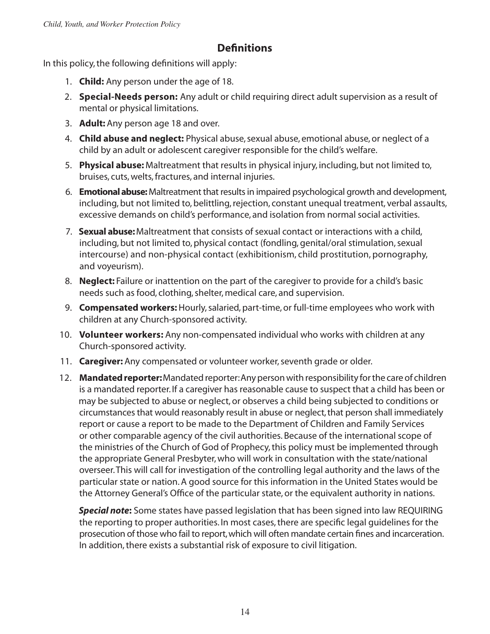## **Definitions**

In this policy, the following definitions will apply:

- 1. **Child:** Any person under the age of 18.
- 2. **Special-Needs person:** Any adult or child requiring direct adult supervision as a result of mental or physical limitations.
- 3. **Adult:** Any person age 18 and over.
- 4. **Child abuse and neglect:** Physical abuse, sexual abuse, emotional abuse, or neglect of a child by an adult or adolescent caregiver responsible for the child's welfare.
- 5. **Physical abuse:** Maltreatment that results in physical injury, including, but not limited to, bruises, cuts, welts, fractures, and internal injuries.
- 6. **Emotional abuse:** Maltreatment that results in impaired psychological growth and development, including, but not limited to, belittling, rejection, constant unequal treatment, verbal assaults, excessive demands on child's performance, and isolation from normal social activities.
- 7. **Sexual abuse:** Maltreatment that consists of sexual contact or interactions with a child, including, but not limited to, physical contact (fondling, genital/oral stimulation, sexual intercourse) and non-physical contact (exhibitionism, child prostitution, pornography, and voyeurism).
- 8. **Neglect:** Failure or inattention on the part of the caregiver to provide for a child's basic needs such as food, clothing, shelter, medical care, and supervision.
- 9. **Compensated workers:** Hourly, salaried, part-time, or full-time employees who work with children at any Church-sponsored activity.
- 10. **Volunteer workers:** Any non-compensated individual who works with children at any Church-sponsored activity.
- 11. **Caregiver:** Any compensated or volunteer worker, seventh grade or older.
- 12. **Mandated reporter:** Mandated reporter: Any person with responsibility for the care of children is a mandated reporter. If a caregiver has reasonable cause to suspect that a child has been or may be subjected to abuse or neglect, or observes a child being subjected to conditions or circumstances that would reasonably result in abuse or neglect, that person shall immediately report or cause a report to be made to the Department of Children and Family Services or other comparable agency of the civil authorities. Because of the international scope of the ministries of the Church of God of Prophecy, this policy must be implemented through the appropriate General Presbyter, who will work in consultation with the state/national overseer. This will call for investigation of the controlling legal authority and the laws of the particular state or nation. A good source for this information in the United States would be the Attorney General's Office of the particular state, or the equivalent authority in nations.

 *Special note***:** Some states have passed legislation that has been signed into law REQUIRING the reporting to proper authorities. In most cases, there are specific legal guidelines for the prosecution of those who fail to report, which will often mandate certain fines and incarceration. In addition, there exists a substantial risk of exposure to civil litigation.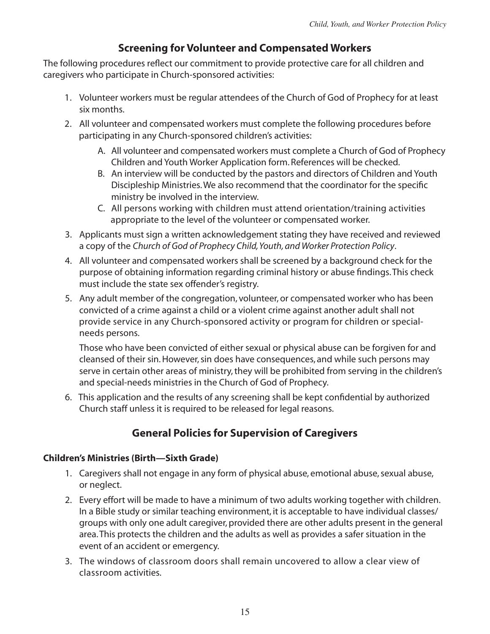### **Screening for Volunteer and Compensated Workers**

The following procedures reflect our commitment to provide protective care for all children and caregivers who participate in Church-sponsored activities:

- 1. Volunteer workers must be regular attendees of the Church of God of Prophecy for at least six months.
- 2. All volunteer and compensated workers must complete the following procedures before participating in any Church-sponsored children's activities:
	- A. All volunteer and compensated workers must complete a Church of God of Prophecy Children and Youth Worker Application form. References will be checked.
	- B. An interview will be conducted by the pastors and directors of Children and Youth Discipleship Ministries. We also recommend that the coordinator for the specific ministry be involved in the interview.
	- C. All persons working with children must attend orientation/training activities appropriate to the level of the volunteer or compensated worker.
- 3. Applicants must sign a written acknowledgement stating they have received and reviewed a copy of the *Church of God of Prophecy Child, Youth, and Worker Protection Policy*.
- 4. All volunteer and compensated workers shall be screened by a background check for the purpose of obtaining information regarding criminal history or abuse findings. This check must include the state sex offender's registry.
- 5. Any adult member of the congregation, volunteer, or compensated worker who has been convicted of a crime against a child or a violent crime against another adult shall not provide service in any Church-sponsored activity or program for children or specialneeds persons.

Those who have been convicted of either sexual or physical abuse can be forgiven for and cleansed of their sin. However, sin does have consequences, and while such persons may serve in certain other areas of ministry, they will be prohibited from serving in the children's and special-needs ministries in the Church of God of Prophecy.

6. This application and the results of any screening shall be kept confidential by authorized Church staff unless it is required to be released for legal reasons.

# **General Policies for Supervision of Caregivers**

### **Children's Ministries (Birth—Sixth Grade)**

- 1. Caregivers shall not engage in any form of physical abuse, emotional abuse, sexual abuse, or neglect.
- 2. Every effort will be made to have a minimum of two adults working together with children. In a Bible study or similar teaching environment, it is acceptable to have individual classes/ groups with only one adult caregiver, provided there are other adults present in the general area. This protects the children and the adults as well as provides a safer situation in the event of an accident or emergency.
- 3. The windows of classroom doors shall remain uncovered to allow a clear view of classroom activities.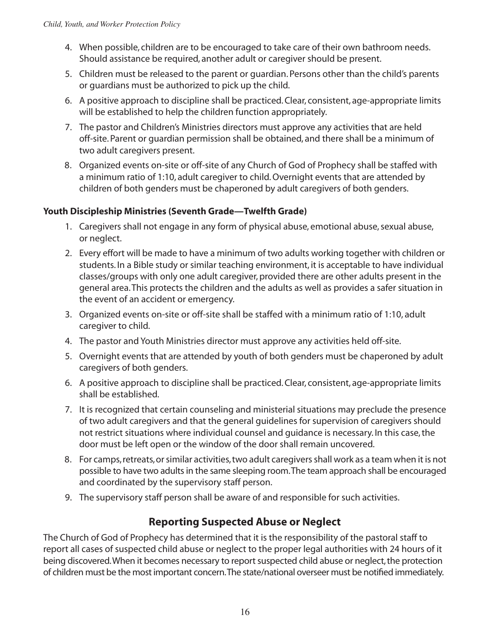- 4. When possible, children are to be encouraged to take care of their own bathroom needs. Should assistance be required, another adult or caregiver should be present.
- 5. Children must be released to the parent or guardian. Persons other than the child's parents or guardians must be authorized to pick up the child.
- 6. A positive approach to discipline shall be practiced. Clear, consistent, age-appropriate limits will be established to help the children function appropriately.
- 7. The pastor and Children's Ministries directors must approve any activities that are held off-site. Parent or guardian permission shall be obtained, and there shall be a minimum of two adult caregivers present.
- 8. Organized events on-site or off-site of any Church of God of Prophecy shall be staffed with a minimum ratio of 1:10, adult caregiver to child. Overnight events that are attended by children of both genders must be chaperoned by adult caregivers of both genders.

### **Youth Discipleship Ministries (Seventh Grade—Twelfth Grade)**

- 1. Caregivers shall not engage in any form of physical abuse, emotional abuse, sexual abuse, or neglect.
- 2. Every effort will be made to have a minimum of two adults working together with children or students. In a Bible study or similar teaching environment, it is acceptable to have individual classes/groups with only one adult caregiver, provided there are other adults present in the general area. This protects the children and the adults as well as provides a safer situation in the event of an accident or emergency.
- 3. Organized events on-site or off-site shall be staffed with a minimum ratio of 1:10, adult caregiver to child.
- 4. The pastor and Youth Ministries director must approve any activities held off-site.
- 5. Overnight events that are attended by youth of both genders must be chaperoned by adult caregivers of both genders.
- 6. A positive approach to discipline shall be practiced. Clear, consistent, age-appropriate limits shall be established.
- 7. It is recognized that certain counseling and ministerial situations may preclude the presence of two adult caregivers and that the general guidelines for supervision of caregivers should not restrict situations where individual counsel and guidance is necessary. In this case, the door must be left open or the window of the door shall remain uncovered.
- 8. For camps, retreats, or similar activities, two adult caregivers shall work as a team when it is not possible to have two adults in the same sleeping room. The team approach shall be encouraged and coordinated by the supervisory staff person.
- 9. The supervisory staff person shall be aware of and responsible for such activities.

### **Reporting Suspected Abuse or Neglect**

The Church of God of Prophecy has determined that it is the responsibility of the pastoral staff to report all cases of suspected child abuse or neglect to the proper legal authorities with 24 hours of it being discovered. When it becomes necessary to report suspected child abuse or neglect, the protection of children must be the most important concern. The state/national overseer must be notified immediately.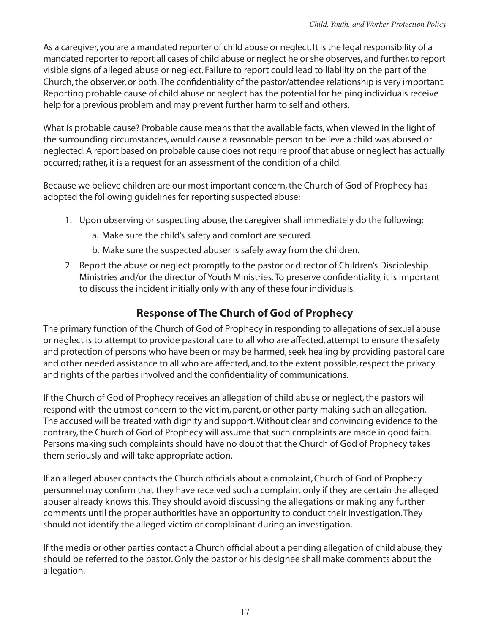As a caregiver, you are a mandated reporter of child abuse or neglect. It is the legal responsibility of a mandated reporter to report all cases of child abuse or neglect he or she observes, and further, to report visible signs of alleged abuse or neglect. Failure to report could lead to liability on the part of the Church, the observer, or both. The confidentiality of the pastor/attendee relationship is very important. Reporting probable cause of child abuse or neglect has the potential for helping individuals receive help for a previous problem and may prevent further harm to self and others.

What is probable cause? Probable cause means that the available facts, when viewed in the light of the surrounding circumstances, would cause a reasonable person to believe a child was abused or neglected. A report based on probable cause does not require proof that abuse or neglect has actually occurred; rather, it is a request for an assessment of the condition of a child.

Because we believe children are our most important concern, the Church of God of Prophecy has adopted the following guidelines for reporting suspected abuse:

- 1. Upon observing or suspecting abuse, the caregiver shall immediately do the following:
	- a. Make sure the child's safety and comfort are secured.
	- b. Make sure the suspected abuser is safely away from the children.
- 2. Report the abuse or neglect promptly to the pastor or director of Children's Discipleship Ministries and/or the director of Youth Ministries. To preserve confidentiality, it is important to discuss the incident initially only with any of these four individuals.

# **Response of The Church of God of Prophecy**

The primary function of the Church of God of Prophecy in responding to allegations of sexual abuse or neglect is to attempt to provide pastoral care to all who are affected, attempt to ensure the safety and protection of persons who have been or may be harmed, seek healing by providing pastoral care and other needed assistance to all who are affected, and, to the extent possible, respect the privacy and rights of the parties involved and the confidentiality of communications.

If the Church of God of Prophecy receives an allegation of child abuse or neglect, the pastors will respond with the utmost concern to the victim, parent, or other party making such an allegation. The accused will be treated with dignity and support. Without clear and convincing evidence to the contrary, the Church of God of Prophecy will assume that such complaints are made in good faith. Persons making such complaints should have no doubt that the Church of God of Prophecy takes them seriously and will take appropriate action.

If an alleged abuser contacts the Church officials about a complaint, Church of God of Prophecy personnel may confirm that they have received such a complaint only if they are certain the alleged abuser already knows this. They should avoid discussing the allegations or making any further comments until the proper authorities have an opportunity to conduct their investigation. They should not identify the alleged victim or complainant during an investigation.

If the media or other parties contact a Church official about a pending allegation of child abuse, they should be referred to the pastor. Only the pastor or his designee shall make comments about the allegation.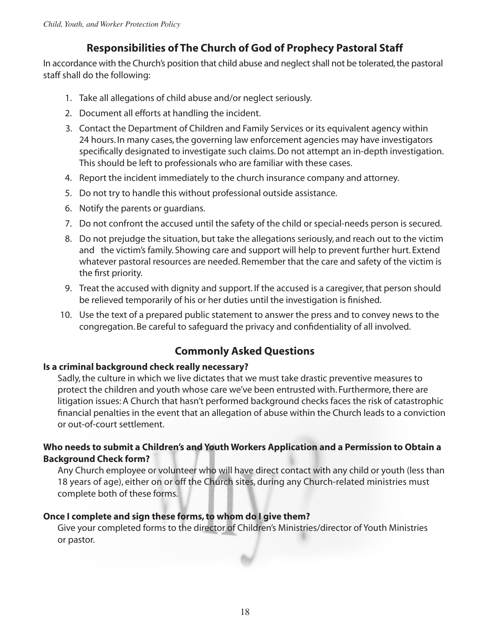# **Responsibilities of The Church of God of Prophecy Pastoral Staff**

In accordance with the Church's position that child abuse and neglect shall not be tolerated, the pastoral staff shall do the following:

- 1. Take all allegations of child abuse and/or neglect seriously.
- 2. Document all efforts at handling the incident.
- 3. Contact the Department of Children and Family Services or its equivalent agency within 24 hours. In many cases, the governing law enforcement agencies may have investigators specifically designated to investigate such claims. Do not attempt an in-depth investigation. This should be left to professionals who are familiar with these cases.
- 4. Report the incident immediately to the church insurance company and attorney.
- 5. Do not try to handle this without professional outside assistance.
- 6. Notify the parents or guardians.
- 7. Do not confront the accused until the safety of the child or special-needs person is secured.
- 8. Do not prejudge the situation, but take the allegations seriously, and reach out to the victim and the victim's family. Showing care and support will help to prevent further hurt. Extend whatever pastoral resources are needed. Remember that the care and safety of the victim is the first priority.
- 9. Treat the accused with dignity and support. If the accused is a caregiver, that person should be relieved temporarily of his or her duties until the investigation is finished.
- 10. Use the text of a prepared public statement to answer the press and to convey news to the congregation. Be careful to safeguard the privacy and confidentiality of all involved.

### **Commonly Asked Questions**

### **Is a criminal background check really necessary?**

Sadly, the culture in which we live dictates that we must take drastic preventive measures to protect the children and youth whose care we've been entrusted with. Furthermore, there are litigation issues: A Church that hasn't performed background checks faces the risk of catastrophic financial penalties in the event that an allegation of abuse within the Church leads to a conviction or out-of-court settlement.

### **Who needs to submit a Children's and Youth Workers Application and a Permission to Obtain a Background Check form?**

Any Church employee or volunteer who will have direct contact with any child or youth (less than 18 years of age), either on or off the Church sites, during any Church-related ministries must complete both of these forms.

#### **Once I complete and sign these forms, to whom do I give them?**

Give your completed forms to the director of Children's Ministries/director of Youth Ministries or pastor.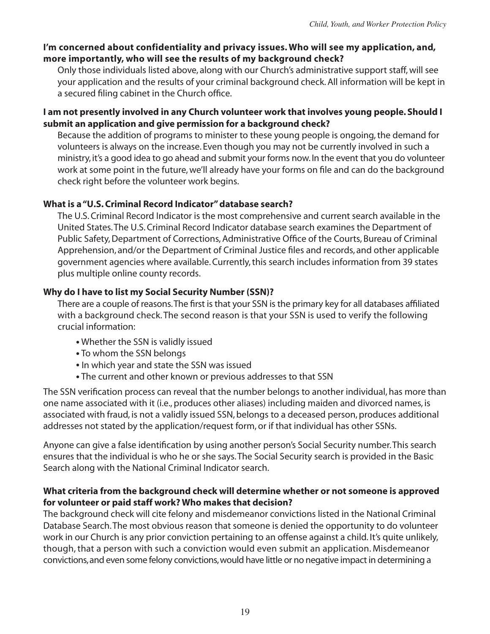### **I'm concerned about confidentiality and privacy issues. Who will see my application, and, more importantly, who will see the results of my background check?**

Only those individuals listed above, along with our Church's administrative support staff, will see your application and the results of your criminal background check. All information will be kept in a secured filing cabinet in the Church office.

### **I am not presently involved in any Church volunteer work that involves young people. Should I submit an application and give permission for a background check?**

Because the addition of programs to minister to these young people is ongoing, the demand for volunteers is always on the increase. Even though you may not be currently involved in such a ministry, it's a good idea to go ahead and submit your forms now. In the event that you do volunteer work at some point in the future, we'll already have your forms on file and can do the background check right before the volunteer work begins.

### **What is a "U.S. Criminal Record Indicator" database search?**

The U.S. Criminal Record Indicator is the most comprehensive and current search available in the United States. The U.S. Criminal Record Indicator database search examines the Department of Public Safety, Department of Corrections, Administrative Office of the Courts, Bureau of Criminal Apprehension, and/or the Department of Criminal Justice files and records, and other applicable government agencies where available. Currently, this search includes information from 39 states plus multiple online county records.

### **Why do I have to list my Social Security Number (SSN)?**

There are a couple of reasons. The first is that your SSN is the primary key for all databases affiliated with a background check. The second reason is that your SSN is used to verify the following crucial information:

- Whether the SSN is validly issued
- To whom the SSN belongs
- In which year and state the SSN was issued
- The current and other known or previous addresses to that SSN

The SSN verification process can reveal that the number belongs to another individual, has more than one name associated with it (i.e., produces other aliases) including maiden and divorced names, is associated with fraud, is not a validly issued SSN, belongs to a deceased person, produces additional addresses not stated by the application/request form, or if that individual has other SSNs.

Anyone can give a false identification by using another person's Social Security number. This search ensures that the individual is who he or she says. The Social Security search is provided in the Basic Search along with the National Criminal Indicator search.

### **What criteria from the background check will determine whether or not someone is approved for volunteer or paid staff work? Who makes that decision?**

The background check will cite felony and misdemeanor convictions listed in the National Criminal Database Search. The most obvious reason that someone is denied the opportunity to do volunteer work in our Church is any prior conviction pertaining to an offense against a child. It's quite unlikely, though, that a person with such a conviction would even submit an application. Misdemeanor convictions, and even some felony convictions, would have little or no negative impact in determining a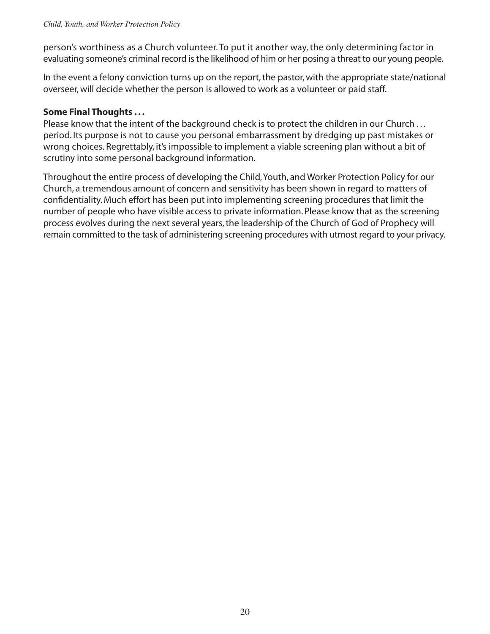person's worthiness as a Church volunteer. To put it another way, the only determining factor in evaluating someone's criminal record is the likelihood of him or her posing a threat to our young people.

In the event a felony conviction turns up on the report, the pastor, with the appropriate state/national overseer, will decide whether the person is allowed to work as a volunteer or paid staff.

#### **Some Final Thoughts . . .**

Please know that the intent of the background check is to protect the children in our Church ... period. Its purpose is not to cause you personal embarrassment by dredging up past mistakes or wrong choices. Regrettably, it's impossible to implement a viable screening plan without a bit of scrutiny into some personal background information.

Throughout the entire process of developing the Child, Youth, and Worker Protection Policy for our Church, a tremendous amount of concern and sensitivity has been shown in regard to matters of confidentiality. Much effort has been put into implementing screening procedures that limit the number of people who have visible access to private information. Please know that as the screening process evolves during the next several years, the leadership of the Church of God of Prophecy will remain committed to the task of administering screening procedures with utmost regard to your privacy.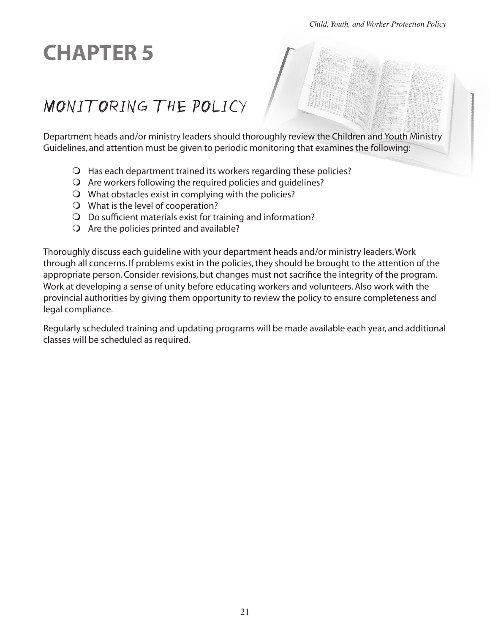# **Chapter 5**

# MONITORING THE POLICY

Department heads and/or ministry leaders should thoroughly review the Children and Youth Ministry Guidelines, and attention must be given to periodic monitoring that examines the following:

- $\Omega$  Has each department trained its workers regarding these policies?
- $\Omega$  Are workers following the required policies and guidelines?
- $\Omega$  What obstacles exist in complying with the policies?
- $\Omega$  What is the level of cooperation?
- $\Omega$  Do sufficient materials exist for training and information?
- $\Omega$  Are the policies printed and available?

Thoroughly discuss each guideline with your department heads and/or ministry leaders. Work through all concerns. If problems exist in the policies, they should be brought to the attention of the appropriate person. Consider revisions, but changes must not sacrifice the integrity of the program. Work at developing a sense of unity before educating workers and volunteers. Also work with the provincial authorities by giving them opportunity to review the policy to ensure completeness and legal compliance.

Regularly scheduled training and updating programs will be made available each year, and additional classes will be scheduled as required.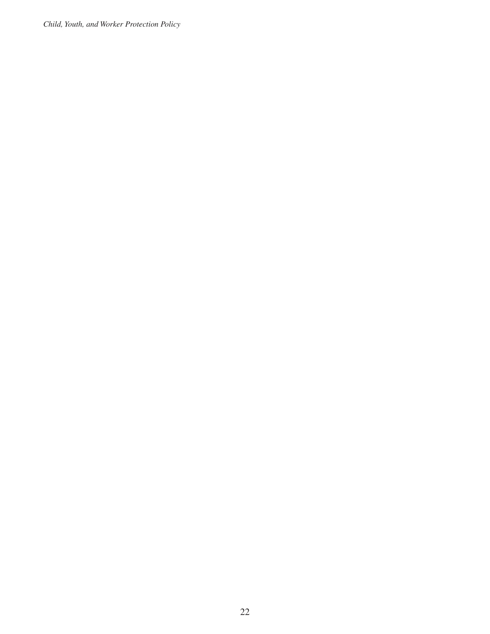*Child, Youth, and Worker Protection Policy*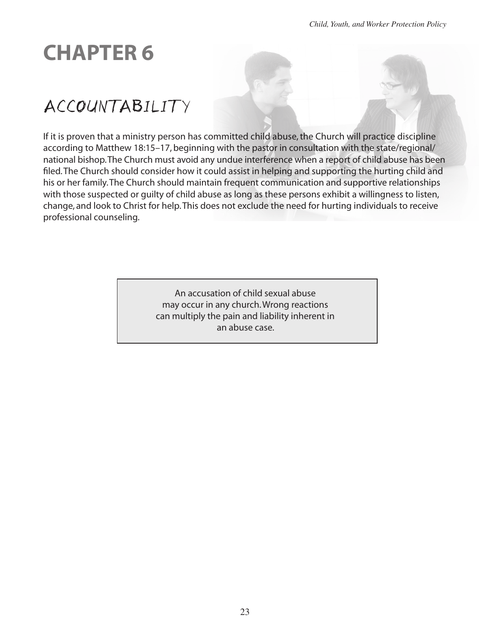# **Chapter 6**

# accountability

If it is proven that a ministry person has committed child abuse, the Church will practice discipline according to Matthew 18:15–17, beginning with the pastor in consultation with the state/regional/ national bishop. The Church must avoid any undue interference when a report of child abuse has been filed. The Church should consider how it could assist in helping and supporting the hurting child and his or her family. The Church should maintain frequent communication and supportive relationships with those suspected or guilty of child abuse as long as these persons exhibit a willingness to listen, change, and look to Christ for help. This does not exclude the need for hurting individuals to receive professional counseling.

> An accusation of child sexual abuse may occur in any church. Wrong reactions can multiply the pain and liability inherent in an abuse case.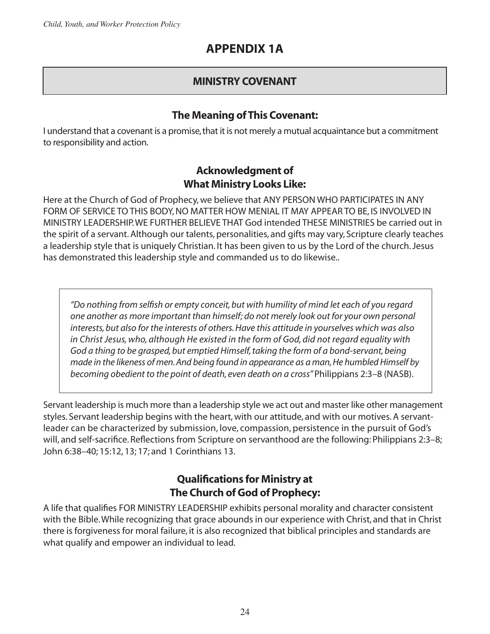# **Appendix 1A**

## **MINISTRY COVENANT**

## **The Meaning of This Covenant:**

I understand that a covenant is a promise, that it is not merely a mutual acquaintance but a commitment to responsibility and action.

### **Acknowledgment of What Ministry Looks Like:**

Here at the Church of God of Prophecy, we believe that ANY PERSON WHO PARTICIPATES IN ANY FORM OF SERVICE TO THIS BODY, NO MATTER HOW MENIAL IT MAY APPEAR TO BE, IS INVOLVED IN MINISTRY LEADERSHIP. WE FURTHER BELIEVE THAT God intended THESE MINISTRIES be carried out in the spirit of a servant. Although our talents, personalities, and gifts may vary, Scripture clearly teaches a leadership style that is uniquely Christian. It has been given to us by the Lord of the church. Jesus has demonstrated this leadership style and commanded us to do likewise..

*"Do nothing from selfish or empty conceit, but with humility of mind let each of you regard one another as more important than himself; do not merely look out for your own personal interests, but also for the interests of others. Have this attitude in yourselves which was also in Christ Jesus, who, although He existed in the form of God, did not regard equality with God a thing to be grasped, but emptied Himself, taking the form of a bond-servant, being made in the likeness of men. And being found in appearance as a man, He humbled Himself by becoming obedient to the point of death, even death on a cross"* Philippians 2:3–8 (NASB).

Servant leadership is much more than a leadership style we act out and master like other management styles. Servant leadership begins with the heart, with our attitude, and with our motives. A servantleader can be characterized by submission, love, compassion, persistence in the pursuit of God's will, and self-sacrifice. Reflections from Scripture on servanthood are the following: Philippians 2:3–8; John 6:38–40; 15:12, 13; 17; and 1 Corinthians 13.

# **Qualifications for Ministry at The Church of God of Prophecy:**

A life that qualifies FOR MINISTRY LEADERSHIP exhibits personal morality and character consistent with the Bible. While recognizing that grace abounds in our experience with Christ, and that in Christ there is forgiveness for moral failure, it is also recognized that biblical principles and standards are what qualify and empower an individual to lead.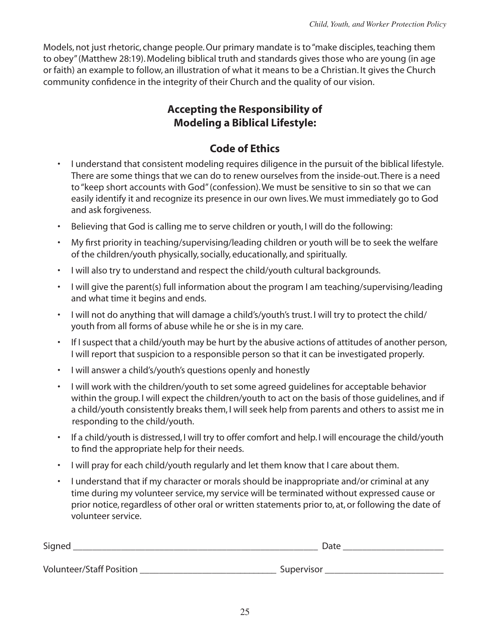Models, not just rhetoric, change people. Our primary mandate is to "make disciples, teaching them to obey" (Matthew 28:19). Modeling biblical truth and standards gives those who are young (in age or faith) an example to follow, an illustration of what it means to be a Christian. It gives the Church community confidence in the integrity of their Church and the quality of our vision.

### **Accepting the Responsibility of Modeling a Biblical Lifestyle:**

# **Code of Ethics**

- I understand that consistent modeling requires diligence in the pursuit of the biblical lifestyle. There are some things that we can do to renew ourselves from the inside-out. There is a need to "keep short accounts with God" (confession). We must be sensitive to sin so that we can easily identify it and recognize its presence in our own lives. We must immediately go to God and ask forgiveness.
- Believing that God is calling me to serve children or youth, I will do the following:
- My first priority in teaching/supervising/leading children or youth will be to seek the welfare of the children/youth physically, socially, educationally, and spiritually.
- I will also try to understand and respect the child/youth cultural backgrounds.
- I will give the parent(s) full information about the program I am teaching/supervising/leading and what time it begins and ends.
- I will not do anything that will damage a child's/youth's trust. I will try to protect the child/ youth from all forms of abuse while he or she is in my care.
- If I suspect that a child/youth may be hurt by the abusive actions of attitudes of another person, I will report that suspicion to a responsible person so that it can be investigated properly.
- I will answer a child's/youth's questions openly and honestly
- I will work with the children/youth to set some agreed guidelines for acceptable behavior within the group. I will expect the children/youth to act on the basis of those guidelines, and if a child/youth consistently breaks them, I will seek help from parents and others to assist me in responding to the child/youth.
- If a child/youth is distressed, I will try to offer comfort and help. I will encourage the child/youth to find the appropriate help for their needs.
- I will pray for each child/youth regularly and let them know that I care about them.
- I understand that if my character or morals should be inappropriate and/or criminal at any time during my volunteer service, my service will be terminated without expressed cause or prior notice, regardless of other oral or written statements prior to, at, or following the date of volunteer service.

| Signed                          | Date       |  |
|---------------------------------|------------|--|
| <b>Volunteer/Staff Position</b> | Supervisor |  |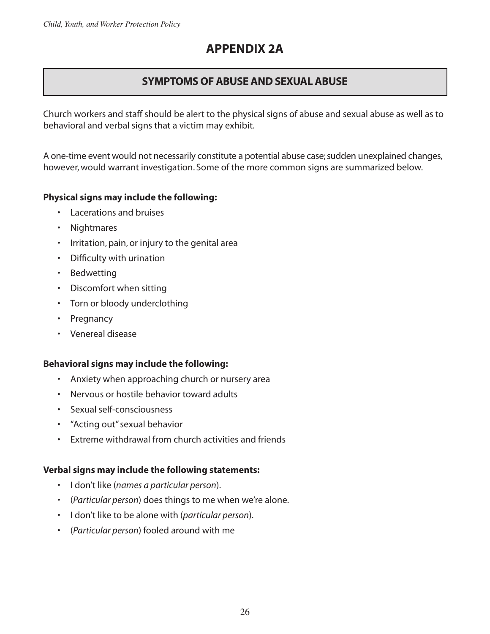# **Appendix 2A**

## **Symptoms of Abuse and Sexual Abuse**

Church workers and staff should be alert to the physical signs of abuse and sexual abuse as well as to behavioral and verbal signs that a victim may exhibit.

A one-time event would not necessarily constitute a potential abuse case; sudden unexplained changes, however, would warrant investigation. Some of the more common signs are summarized below.

### **Physical signs may include the following:**

- Lacerations and bruises
- Nightmares
- Irritation, pain, or injury to the genital area
- Difficulty with urination
- Bedwetting
- Discomfort when sitting
- Torn or bloody underclothing
- **Pregnancy**
- Venereal disease

#### **Behavioral signs may include the following:**

- Anxiety when approaching church or nursery area
- Nervous or hostile behavior toward adults
- Sexual self-consciousness
- "Acting out" sexual behavior
- Extreme withdrawal from church activities and friends

#### **Verbal signs may include the following statements:**

- I don't like (*names a particular person*).
- (*Particular person*) does things to me when we're alone.
- I don't like to be alone with (*particular person*).
- (*Particular person*) fooled around with me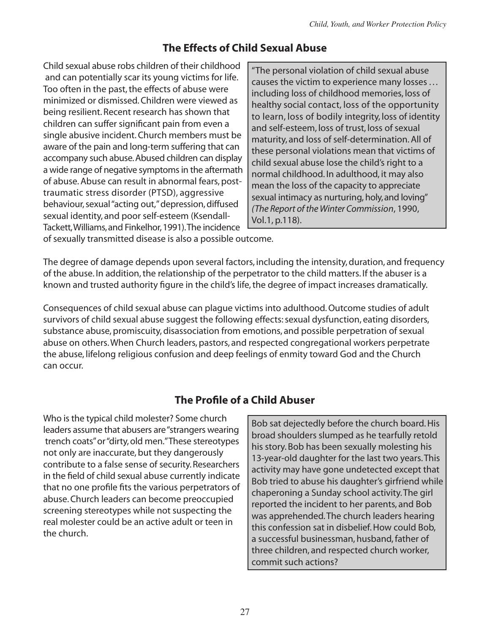# **The Effects of Child Sexual Abuse**

Child sexual abuse robs children of their childhood and can potentially scar its young victims for life. Too often in the past, the effects of abuse were minimized or dismissed. Children were viewed as being resilient. Recent research has shown that children can suffer significant pain from even a single abusive incident. Church members must be aware of the pain and long-term suffering that can accompany such abuse. Abused children can display a wide range of negative symptoms in the aftermath of abuse. Abuse can result in abnormal fears, posttraumatic stress disorder (PTSD), aggressive behaviour, sexual "acting out," depression, diffused sexual identity, and poor self-esteem (Ksendall-Tackett, Williams, and Finkelhor, 1991). The incidence

"The personal violation of child sexual abuse causes the victim to experience many losses . . . including loss of childhood memories, loss of healthy social contact, loss of the opportunity to learn, loss of bodily integrity, loss of identity and self-esteem, loss of trust, loss of sexual maturity, and loss of self-determination. All of these personal violations mean that victims of child sexual abuse lose the child's right to a normal childhood. In adulthood, it may also mean the loss of the capacity to appreciate sexual intimacy as nurturing, holy, and loving" *(The Report of the Winter Commission*, 1990, Vol.1, p.118).

of sexually transmitted disease is also a possible outcome.

The degree of damage depends upon several factors, including the intensity, duration, and frequency of the abuse. In addition, the relationship of the perpetrator to the child matters. If the abuser is a known and trusted authority figure in the child's life, the degree of impact increases dramatically.

Consequences of child sexual abuse can plague victims into adulthood. Outcome studies of adult survivors of child sexual abuse suggest the following effects: sexual dysfunction, eating disorders, substance abuse, promiscuity, disassociation from emotions, and possible perpetration of sexual abuse on others. When Church leaders, pastors, and respected congregational workers perpetrate the abuse, lifelong religious confusion and deep feelings of enmity toward God and the Church can occur.

# **The Profile of a Child Abuser**

Who is the typical child molester? Some church leaders assume that abusers are "strangers wearing trench coats" or "dirty, old men." These stereotypes not only are inaccurate, but they dangerously contribute to a false sense of security. Researchers in the field of child sexual abuse currently indicate that no one profile fits the various perpetrators of abuse. Church leaders can become preoccupied screening stereotypes while not suspecting the real molester could be an active adult or teen in the church.

Bob sat dejectedly before the church board. His broad shoulders slumped as he tearfully retold his story. Bob has been sexually molesting his 13-year-old daughter for the last two years. This activity may have gone undetected except that Bob tried to abuse his daughter's girfriend while chaperoning a Sunday school activity. The girl reported the incident to her parents, and Bob was apprehended. The church leaders hearing this confession sat in disbelief. How could Bob, a successful businessman, husband, father of three children, and respected church worker, commit such actions?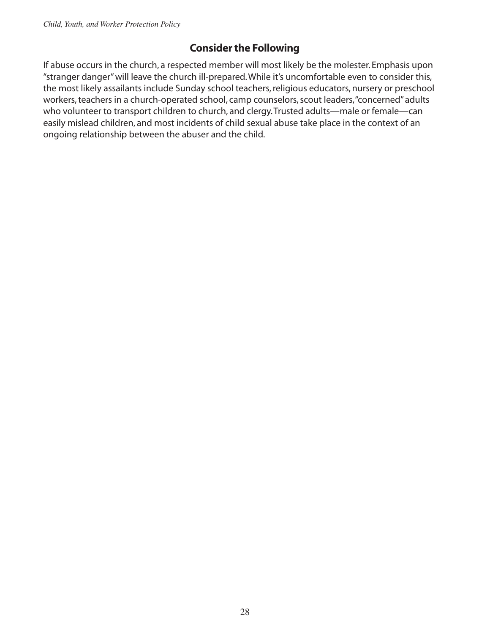## **Consider the Following**

If abuse occurs in the church, a respected member will most likely be the molester. Emphasis upon "stranger danger" will leave the church ill-prepared. While it's uncomfortable even to consider this, the most likely assailants include Sunday school teachers, religious educators, nursery or preschool workers, teachers in a church-operated school, camp counselors, scout leaders, "concerned" adults who volunteer to transport children to church, and clergy. Trusted adults—male or female—can easily mislead children, and most incidents of child sexual abuse take place in the context of an ongoing relationship between the abuser and the child.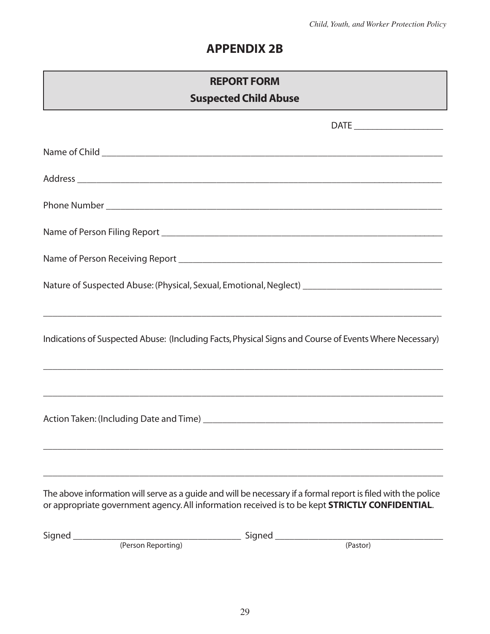# **Appendix 2B**

|                              | <b>REPORT FORM</b><br><b>Suspected Child Abuse</b>                                                                                                                                                               |
|------------------------------|------------------------------------------------------------------------------------------------------------------------------------------------------------------------------------------------------------------|
|                              |                                                                                                                                                                                                                  |
|                              |                                                                                                                                                                                                                  |
|                              |                                                                                                                                                                                                                  |
|                              |                                                                                                                                                                                                                  |
|                              |                                                                                                                                                                                                                  |
|                              |                                                                                                                                                                                                                  |
|                              | Nature of Suspected Abuse: (Physical, Sexual, Emotional, Neglect) _________________________________                                                                                                              |
|                              | ,我们也不能会在这里,我们的人们就会在这里,我们的人们就会在这里,我们的人们就会在这里,我们的人们就会在这里,我们的人们就会在这里,我们的人们就会在这里,我们的<br>Indications of Suspected Abuse: (Including Facts, Physical Signs and Course of Events Where Necessary)                       |
|                              | ,我们也不能在这里的时候,我们也不能在这里的时候,我们也不能会不能会不能会不能会不能会不能会不能会不能会不能会不能会。""我们的是,我们也不能会不能会不能会不能                                                                                                                                 |
|                              |                                                                                                                                                                                                                  |
|                              | The above information will serve as a guide and will be necessary if a formal report is filed with the police<br>or appropriate government agency. All information received is to be kept STRICTLY CONFIDENTIAL. |
| Signed<br>(Person Reporting) | Signed _<br>(Pastor)                                                                                                                                                                                             |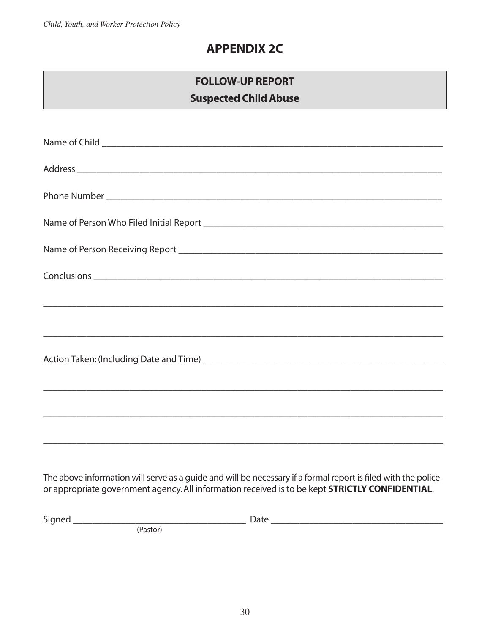# **APPENDIX 2C**

# **FOLLOW-UP REPORT Suspected Child Abuse**

| ,我们也不会有什么。""我们的人,我们也不会有什么?""我们的人,我们也不会有什么?""我们的人,我们也不会有什么?""我们的人,我们也不会有什么?""我们的人 |
|----------------------------------------------------------------------------------|
|                                                                                  |
|                                                                                  |
|                                                                                  |
|                                                                                  |

The above information will serve as a guide and will be necessary if a formal report is filed with the police or appropriate government agency. All information received is to be kept STRICTLY CONFIDENTIAL.

| $\Gamma$<br>N.<br>- - - |   | .<br>. .<br>$-$ |  |
|-------------------------|---|-----------------|--|
| -                       | . |                 |  |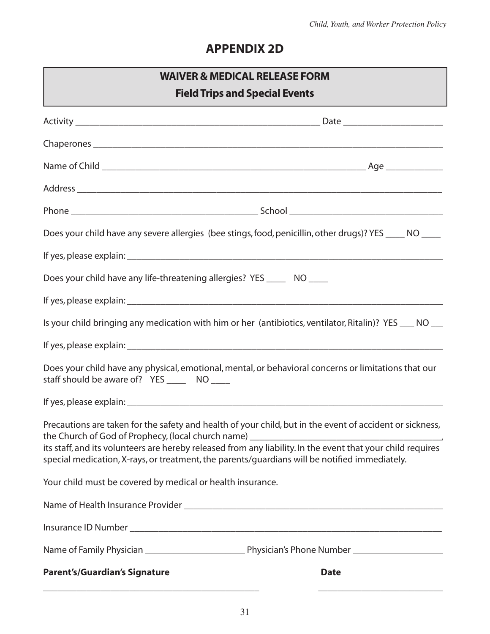# **Appendix 2D**

| <b>WAIVER &amp; MEDICAL RELEASE FORM</b>                                                                                                                                                                                |             |
|-------------------------------------------------------------------------------------------------------------------------------------------------------------------------------------------------------------------------|-------------|
| <b>Field Trips and Special Events</b>                                                                                                                                                                                   |             |
|                                                                                                                                                                                                                         |             |
|                                                                                                                                                                                                                         |             |
|                                                                                                                                                                                                                         |             |
|                                                                                                                                                                                                                         |             |
|                                                                                                                                                                                                                         |             |
| Does your child have any severe allergies (bee stings, food, penicillin, other drugs)? YES _____ NO ____                                                                                                                |             |
|                                                                                                                                                                                                                         |             |
| Does your child have any life-threatening allergies? YES ______ NO _____                                                                                                                                                |             |
|                                                                                                                                                                                                                         |             |
| Is your child bringing any medication with him or her (antibiotics, ventilator, Ritalin)? YES ___ NO __                                                                                                                 |             |
|                                                                                                                                                                                                                         |             |
| Does your child have any physical, emotional, mental, or behavioral concerns or limitations that our<br>staff should be aware of? YES ______ NO _____                                                                   |             |
|                                                                                                                                                                                                                         |             |
| Precautions are taken for the safety and health of your child, but in the event of accident or sickness,<br>its staff, and its volunteers are hereby released from any liability. In the event that your child requires |             |
| special medication, X-rays, or treatment, the parents/guardians will be notified immediately.                                                                                                                           |             |
| Your child must be covered by medical or health insurance.                                                                                                                                                              |             |
|                                                                                                                                                                                                                         |             |
|                                                                                                                                                                                                                         |             |
|                                                                                                                                                                                                                         |             |
| <b>Parent's/Guardian's Signature</b>                                                                                                                                                                                    | <b>Date</b> |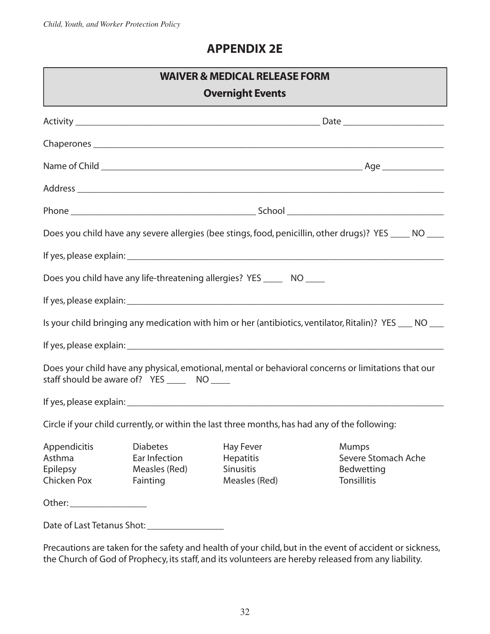# **Appendix 2E**

|                                                   |                                                               | <b>WAIVER &amp; MEDICAL RELEASE FORM</b>                                |                                                                                                          |
|---------------------------------------------------|---------------------------------------------------------------|-------------------------------------------------------------------------|----------------------------------------------------------------------------------------------------------|
|                                                   |                                                               | <b>Overnight Events</b>                                                 |                                                                                                          |
|                                                   |                                                               |                                                                         |                                                                                                          |
|                                                   |                                                               |                                                                         |                                                                                                          |
|                                                   |                                                               |                                                                         |                                                                                                          |
|                                                   |                                                               |                                                                         |                                                                                                          |
|                                                   |                                                               |                                                                         |                                                                                                          |
|                                                   |                                                               |                                                                         | Does you child have any severe allergies (bee stings, food, penicillin, other drugs)? YES ____ NO ___    |
|                                                   |                                                               |                                                                         |                                                                                                          |
|                                                   |                                                               | Does you child have any life-threatening allergies? YES ______ NO _____ |                                                                                                          |
|                                                   |                                                               |                                                                         |                                                                                                          |
|                                                   |                                                               |                                                                         | Is your child bringing any medication with him or her (antibiotics, ventilator, Ritalin)? YES ___ NO ___ |
|                                                   |                                                               |                                                                         |                                                                                                          |
|                                                   | staff should be aware of? YES _______ NO _____                |                                                                         | Does your child have any physical, emotional, mental or behavioral concerns or limitations that our      |
|                                                   |                                                               |                                                                         |                                                                                                          |
|                                                   |                                                               |                                                                         | Circle if your child currently, or within the last three months, has had any of the following:           |
| Appendicitis<br>Asthma<br>Epilepsy<br>Chicken Pox | <b>Diabetes</b><br>Ear Infection<br>Measles (Red)<br>Fainting | <b>Hay Fever</b><br><b>Hepatitis</b><br>Sinusitis<br>Measles (Red)      | Mumps<br>Severe Stomach Ache<br>Bedwetting<br><b>Tonsillitis</b>                                         |
|                                                   |                                                               |                                                                         |                                                                                                          |
| Date of Last Tetanus Shot:                        |                                                               |                                                                         |                                                                                                          |

Precautions are taken for the safety and health of your child, but in the event of accident or sickness, the Church of God of Prophecy, its staff, and its volunteers are hereby released from any liability.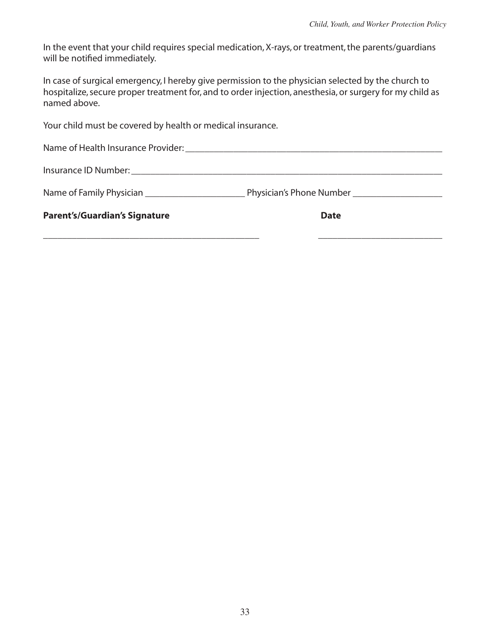In the event that your child requires special medication, X-rays, or treatment, the parents/guardians will be notified immediately.

In case of surgical emergency, I hereby give permission to the physician selected by the church to hospitalize, secure proper treatment for, and to order injection, anesthesia, or surgery for my child as named above.

Your child must be covered by health or medical insurance.

| Name of Health Insurance Provider: |  |
|------------------------------------|--|
|                                    |  |

Insurance ID Number: \_\_\_\_\_\_\_\_\_\_\_\_\_\_\_\_\_\_\_\_\_\_\_\_\_\_\_\_\_\_\_\_\_\_\_\_\_\_\_\_\_\_\_\_\_\_\_\_\_\_\_\_\_\_\_\_\_\_\_\_\_\_\_\_\_

| Name of Family Physician | <b>Physician's Phone Number</b> |
|--------------------------|---------------------------------|
|--------------------------|---------------------------------|

\_\_\_\_\_\_\_\_\_\_\_\_\_\_\_\_\_\_\_\_\_\_\_\_\_\_\_\_\_\_\_\_\_\_\_\_\_\_\_\_\_\_\_\_\_ \_\_\_\_\_\_\_\_\_\_\_\_\_\_\_\_\_\_\_\_\_\_\_\_\_\_

#### **Parent's/Guardian's Signature**

| v<br>×<br>. .<br>. .<br>× |
|---------------------------|
|---------------------------|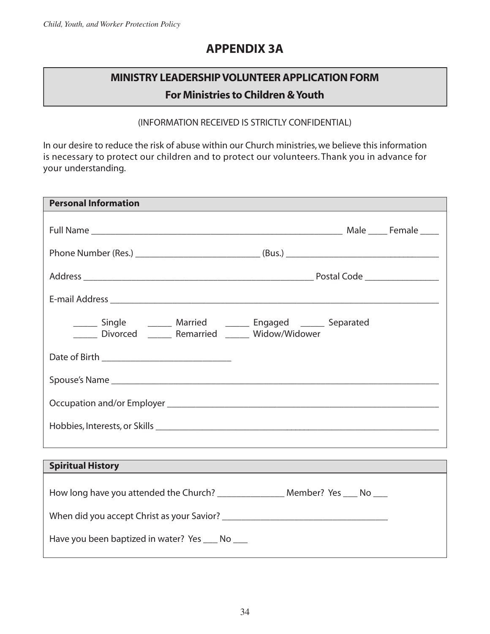# **Appendix 3A**

# **MINISTRY LEADERSHIP VOLUNTEER APPLICATION FORM For Ministries to Children & Youth**

(INFORMATION RECEIVED IS STRICTLY CONFIDENTIAL)

In our desire to reduce the risk of abuse within our Church ministries, we believe this information is necessary to protect our children and to protect our volunteers. Thank you in advance for your understanding.

| <b>Personal Information</b>                                                                                              |  |  |  |  |
|--------------------------------------------------------------------------------------------------------------------------|--|--|--|--|
|                                                                                                                          |  |  |  |  |
|                                                                                                                          |  |  |  |  |
|                                                                                                                          |  |  |  |  |
|                                                                                                                          |  |  |  |  |
| ______ Single ________ Married _______ Engaged ______ Separated<br>______ Divorced ______ Remarried ______ Widow/Widower |  |  |  |  |
|                                                                                                                          |  |  |  |  |
|                                                                                                                          |  |  |  |  |
|                                                                                                                          |  |  |  |  |
|                                                                                                                          |  |  |  |  |
|                                                                                                                          |  |  |  |  |
| <b>Spiritual History</b>                                                                                                 |  |  |  |  |
| Have you been baptized in water? Yes ____ No ____                                                                        |  |  |  |  |
|                                                                                                                          |  |  |  |  |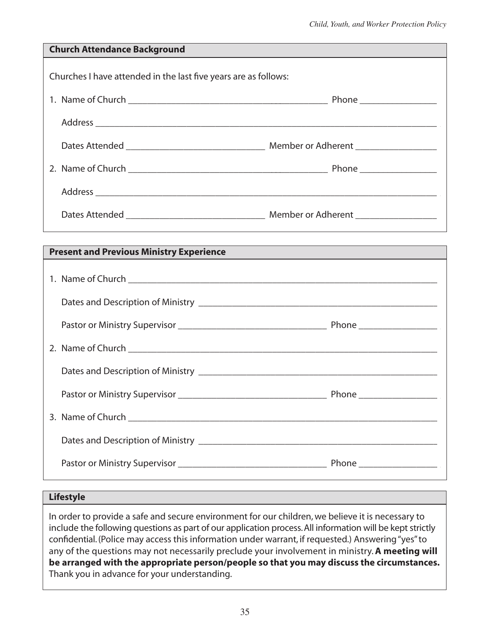| <b>Church Attendance Background</b>                             |  |  |  |
|-----------------------------------------------------------------|--|--|--|
| Churches I have attended in the last five years are as follows: |  |  |  |
|                                                                 |  |  |  |
|                                                                 |  |  |  |
|                                                                 |  |  |  |
|                                                                 |  |  |  |
|                                                                 |  |  |  |
|                                                                 |  |  |  |
|                                                                 |  |  |  |

| <b>Present and Previous Ministry Experience</b> |  |  |
|-------------------------------------------------|--|--|
|                                                 |  |  |
|                                                 |  |  |
|                                                 |  |  |
|                                                 |  |  |
|                                                 |  |  |
|                                                 |  |  |
|                                                 |  |  |
|                                                 |  |  |
|                                                 |  |  |

### **Lifestyle**

In order to provide a safe and secure environment for our children, we believe it is necessary to include the following questions as part of our application process. All information will be kept strictly confidential. (Police may access this information under warrant, if requested.) Answering "yes" to any of the questions may not necessarily preclude your involvement in ministry. **A meeting will be arranged with the appropriate person/people so that you may discuss the circumstances.**  Thank you in advance for your understanding.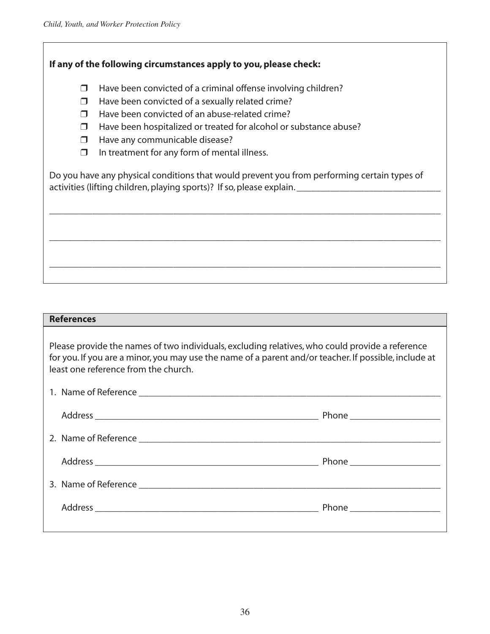### **If any of the following circumstances apply to you, please check:**

- $\Box$  Have been convicted of a criminal offense involving children?
- $\Box$  Have been convicted of a sexually related crime?
- $\Box$  Have been convicted of an abuse-related crime?
- $\Box$  Have been hospitalized or treated for alcohol or substance abuse?
- $\Box$  Have any communicable disease?
- $\Box$  In treatment for any form of mental illness.

Do you have any physical conditions that would prevent you from performing certain types of activities (lifting children, playing sports)? If so, please explain.

\_\_\_\_\_\_\_\_\_\_\_\_\_\_\_\_\_\_\_\_\_\_\_\_\_\_\_\_\_\_\_\_\_\_\_\_\_\_\_\_\_\_\_\_\_\_\_\_\_\_\_\_\_\_\_\_\_\_\_\_\_\_\_\_\_\_\_\_\_\_\_\_\_\_\_\_\_\_\_\_\_\_

\_\_\_\_\_\_\_\_\_\_\_\_\_\_\_\_\_\_\_\_\_\_\_\_\_\_\_\_\_\_\_\_\_\_\_\_\_\_\_\_\_\_\_\_\_\_\_\_\_\_\_\_\_\_\_\_\_\_\_\_\_\_\_\_\_\_\_\_\_\_\_\_\_\_\_\_\_\_\_\_\_\_

\_\_\_\_\_\_\_\_\_\_\_\_\_\_\_\_\_\_\_\_\_\_\_\_\_\_\_\_\_\_\_\_\_\_\_\_\_\_\_\_\_\_\_\_\_\_\_\_\_\_\_\_\_\_\_\_\_\_\_\_\_\_\_\_\_\_\_\_\_\_\_\_\_\_\_\_\_\_\_\_\_\_

#### **References**

Please provide the names of two individuals, excluding relatives, who could provide a reference for you. If you are a minor, you may use the name of a parent and/or teacher. If possible, include at least one reference from the church.

|  | Phone ______________________ |
|--|------------------------------|
|  |                              |
|  |                              |
|  |                              |
|  |                              |
|  |                              |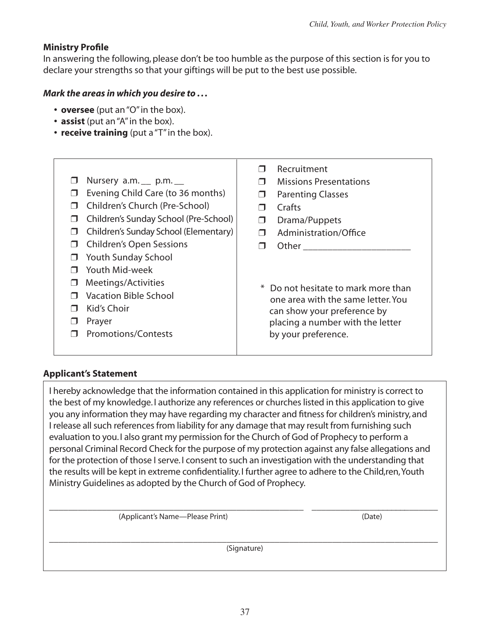### **Ministry Profile**

In answering the following, please don't be too humble as the purpose of this section is for you to declare your strengths so that your giftings will be put to the best use possible.

### *Mark the areas in which you desire to . . .*

- **oversee** (put an "O" in the box).
- **assist** (put an "A" in the box).
- **receive training** (put a "T" in the box).

| Nursery $a.m.$ $p.m.$<br>Evening Child Care (to 36 months)<br>Children's Church (Pre-School)<br>Children's Sunday School (Pre-School)<br>H<br>Children's Sunday School (Elementary)<br><b>Children's Open Sessions</b><br><b>Youth Sunday School</b><br>Youth Mid-week<br>Meetings/Activities<br>H<br>Vacation Bible School<br>Kid's Choir<br>Prayer<br>H<br><b>Promotions/Contests</b> |
|-----------------------------------------------------------------------------------------------------------------------------------------------------------------------------------------------------------------------------------------------------------------------------------------------------------------------------------------------------------------------------------------|
|-----------------------------------------------------------------------------------------------------------------------------------------------------------------------------------------------------------------------------------------------------------------------------------------------------------------------------------------------------------------------------------------|

### **Applicant's Statement**

I hereby acknowledge that the information contained in this application for ministry is correct to the best of my knowledge. I authorize any references or churches listed in this application to give you any information they may have regarding my character and fitness for children's ministry, and I release all such references from liability for any damage that may result from furnishing such evaluation to you. I also grant my permission for the Church of God of Prophecy to perform a personal Criminal Record Check for the purpose of my protection against any false allegations and for the protection of those I serve. I consent to such an investigation with the understanding that the results will be kept in extreme confidentiality. I further agree to adhere to the Child,ren, Youth Ministry Guidelines as adopted by the Church of God of Prophecy.

| (Applicant's Name-Please Print) | (Date) |
|---------------------------------|--------|
|                                 |        |
| (Signature)                     |        |
|                                 |        |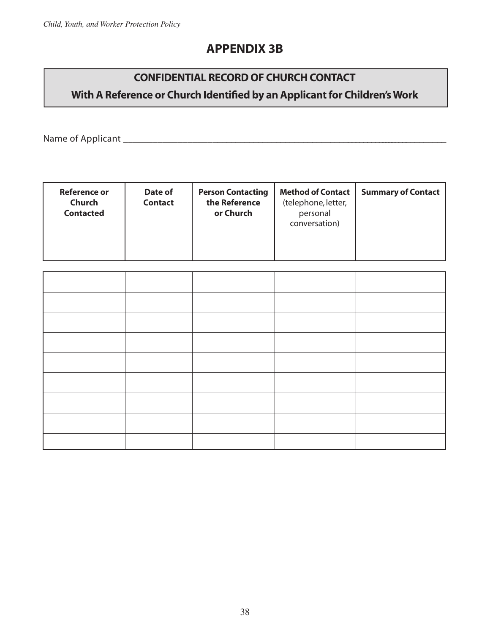# **Appendix 3B**

## **CONFIDENTIAL RECORD OF CHURCH CONTACT**

# **With A Reference or Church Identified by an Applicant for Children's Work**

Name of Applicant \_\_\_\_\_\_\_\_\_\_\_\_\_\_\_\_\_\_\_\_\_\_\_\_\_\_\_\_\_\_\_\_\_\_\_\_\_\_\_\_\_\_\_\_\_\_\_\_\_\_\_\_\_\_\_\_\_\_\_\_\_\_\_\_\_\_\_\_\_\_\_\_\_

| Reference or<br>Church<br><b>Contacted</b> | Date of<br><b>Contact</b> | <b>Person Contacting</b><br>the Reference<br>or Church | <b>Method of Contact</b><br>(telephone, letter,<br>personal<br>conversation) | <b>Summary of Contact</b> |
|--------------------------------------------|---------------------------|--------------------------------------------------------|------------------------------------------------------------------------------|---------------------------|
|--------------------------------------------|---------------------------|--------------------------------------------------------|------------------------------------------------------------------------------|---------------------------|